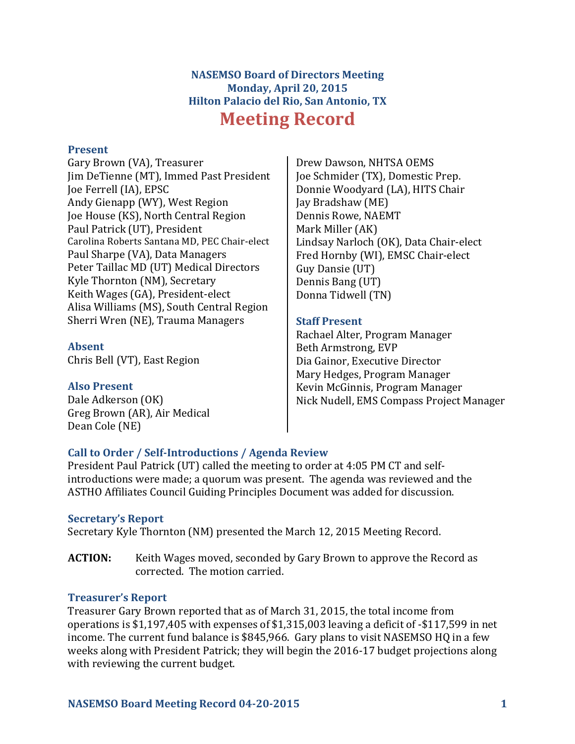# **NASEMSO Board of Directors Meeting Monday, April 20, 2015 Hilton Palacio del Rio, San Antonio, TX Meeting Record**

### **Present**

Gary Brown (VA), Treasurer Jim DeTienne (MT), Immed Past President Joe Ferrell (IA), EPSC Andy Gienapp (WY), West Region Joe House (KS), North Central Region Paul Patrick (UT), President Carolina Roberts Santana MD, PEC Chair-elect Paul Sharpe (VA), Data Managers Peter Taillac MD (UT) Medical Directors Kyle Thornton (NM), Secretary Keith Wages (GA), President-elect Alisa Williams (MS), South Central Region Sherri Wren (NE), Trauma Managers

#### **Absent**

Chris Bell (VT), East Region

#### **Also Present**

Dale Adkerson (OK) Greg Brown (AR), Air Medical Dean Cole (NE)

Drew Dawson, NHTSA OEMS Joe Schmider (TX), Domestic Prep. Donnie Woodyard (LA), HITS Chair Iay Bradshaw (ME) Dennis Rowe, NAEMT Mark Miller (AK) Lindsay Narloch (OK), Data Chair-elect Fred Hornby (WI), EMSC Chair-elect Guy Dansie (UT) Dennis Bang (UT) Donna Tidwell (TN)

#### **Staff Present**

Rachael Alter, Program Manager Beth Armstrong, EVP Dia Gainor, Executive Director Mary Hedges, Program Manager Kevin McGinnis, Program Manager Nick Nudell, EMS Compass Project Manager

## **Call to Order / Self-Introductions / Agenda Review**

President Paul Patrick (UT) called the meeting to order at 4:05 PM CT and selfintroductions were made; a quorum was present. The agenda was reviewed and the ASTHO Affiliates Council Guiding Principles Document was added for discussion.

#### **Secretary's Report**

Secretary Kyle Thornton (NM) presented the March 12, 2015 Meeting Record.

**ACTION:** Keith Wages moved, seconded by Gary Brown to approve the Record as corrected. The motion carried.

## **Treasurer's Report**

Treasurer Gary Brown reported that as of March 31, 2015, the total income from operations is \$1,197,405 with expenses of \$1,315,003 leaving a deficit of  $-$ \$117,599 in net income. The current fund balance is \$845,966. Gary plans to visit NASEMSO HQ in a few weeks along with President Patrick; they will begin the 2016-17 budget projections along with reviewing the current budget.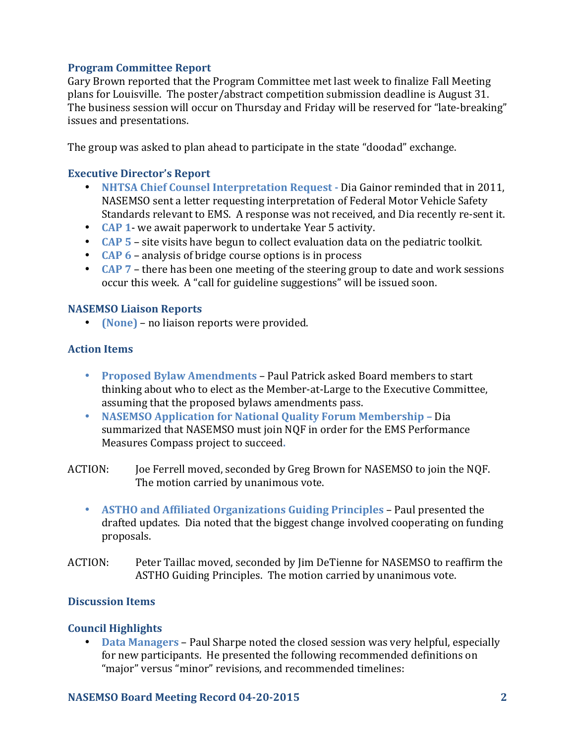## **Program Committee Report**

Gary Brown reported that the Program Committee met last week to finalize Fall Meeting plans for Louisville. The poster/abstract competition submission deadline is August 31. The business session will occur on Thursday and Friday will be reserved for "late-breaking" issues and presentations.

The group was asked to plan ahead to participate in the state "doodad" exchange.

## **Executive Director's Report**

- **NHTSA Chief Counsel Interpretation Request** Dia Gainor reminded that in 2011, NASEMSO sent a letter requesting interpretation of Federal Motor Vehicle Safety Standards relevant to EMS. A response was not received, and Dia recently re-sent it.
- **CAP 1** we await paperwork to undertake Year 5 activity.
- CAP 5 site visits have begun to collect evaluation data on the pediatric toolkit.
- **CAP 6** analysis of bridge course options is in process
- **CAP** 7 there has been one meeting of the steering group to date and work sessions occur this week. A "call for guideline suggestions" will be issued soon.

#### **NASEMSO Liaison Reports**

• **(None)** – no liaison reports were provided.

## **Action Items**

- **Proposed Bylaw Amendments** Paul Patrick asked Board members to start thinking about who to elect as the Member-at-Large to the Executive Committee, assuming that the proposed bylaws amendments pass.
- **NASEMSO Application for National Quality Forum Membership Dia** summarized that NASEMSO must join NQF in order for the EMS Performance Measures Compass project to succeed.
- ACTION: Joe Ferrell moved, seconded by Greg Brown for NASEMSO to join the NQF. The motion carried by unanimous vote.
	- **ASTHO** and Affiliated Organizations Guiding Principles Paul presented the drafted updates. Dia noted that the biggest change involved cooperating on funding proposals.
- ACTION: Peter Taillac moved, seconded by Jim DeTienne for NASEMSO to reaffirm the ASTHO Guiding Principles. The motion carried by unanimous vote.

## **Discussion Items**

## **Council Highlights**

• **Data Managers** – Paul Sharpe noted the closed session was very helpful, especially for new participants. He presented the following recommended definitions on "major" versus "minor" revisions, and recommended timelines:

## **NASEMSO Board Meeting Record 04-20-2015 2**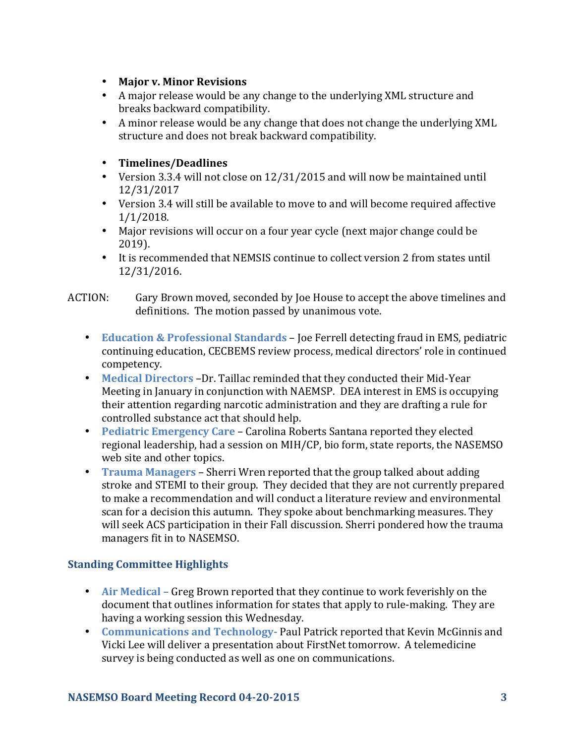- **Major v. Minor Revisions**
- A major release would be any change to the underlying XML structure and breaks backward compatibility.
- A minor release would be any change that does not change the underlying XML structure and does not break backward compatibility.

## • **Timelines/Deadlines**

- Version 3.3.4 will not close on 12/31/2015 and will now be maintained until 12/31/2017
- Version 3.4 will still be available to move to and will become required affective 1/1/2018.
- Major revisions will occur on a four year cycle (next major change could be 2019).
- It is recommended that NEMSIS continue to collect version 2 from states until 12/31/2016.
- ACTION: Gary Brown moved, seconded by Joe House to accept the above timelines and definitions. The motion passed by unanimous vote.
	- **Education & Professional Standards** Joe Ferrell detecting fraud in EMS, pediatric continuing education, CECBEMS review process, medical directors' role in continued competency.
	- Medical Directors -Dr. Taillac reminded that they conducted their Mid-Year Meeting in January in conjunction with NAEMSP. DEA interest in EMS is occupying their attention regarding narcotic administration and they are drafting a rule for controlled substance act that should help.
	- **Pediatric Emergency Care** Carolina Roberts Santana reported they elected regional leadership, had a session on MIH/CP, bio form, state reports, the NASEMSO web site and other topics.
	- **Trauma Managers** Sherri Wren reported that the group talked about adding stroke and STEMI to their group. They decided that they are not currently prepared to make a recommendation and will conduct a literature review and environmental scan for a decision this autumn. They spoke about benchmarking measures. They will seek ACS participation in their Fall discussion. Sherri pondered how the trauma managers fit in to NASEMSO.

## **Standing Committee Highlights**

- Air Medical Greg Brown reported that they continue to work feverishly on the document that outlines information for states that apply to rule-making. They are having a working session this Wednesday.
- **Communications and Technology-** Paul Patrick reported that Kevin McGinnis and Vicki Lee will deliver a presentation about FirstNet tomorrow. A telemedicine survey is being conducted as well as one on communications.